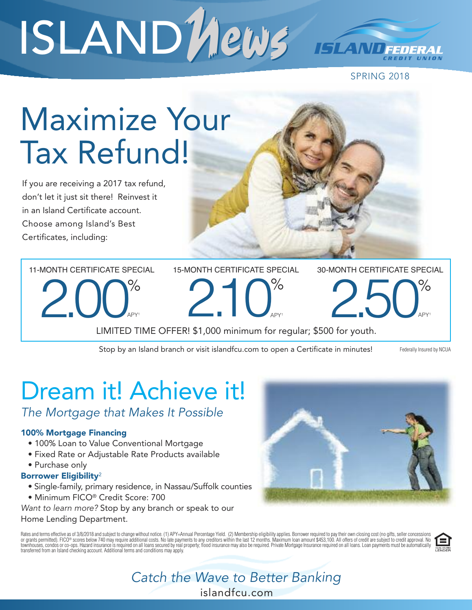# ISLAND News

SPRING 2018

## Maximize Your Tax Refund!

If you are receiving a 2017 tax refund, don't let it just sit there! Reinvest it in an Island Certificate account. Choose among Island's Best Certificates, including:

11-MONTH CERTIFICATE SPECIAL 15-MONTH CERTIFICATE SPECIAL

30-MONTH CERTIFICATE SPECIAL

2.00<sup>%</sup>

 $\%$  2.10<sup>%</sup> APY1

2.50%

LIMITED TIME OFFER! \$1,000 minimum for regular; \$500 for youth.

Stop by an Island branch or visit islandfcu.com to open a Certificate in minutes! Federally Insured by NCUA

APY1

### Dream it! Achieve it!

*The Mortgage that Makes It Possible*

### 100% Mortgage Financing

- 100% Loan to Value Conventional Mortgage
- Fixed Rate or Adjustable Rate Products available
- Purchase only

### Borrower Eligibility<sup>2</sup>

- Single-family, primary residence, in Nassau/Suffolk counties • Minimum FICO® Credit Score: 700
- *Want to learn more?* Stop by any branch or speak to our

#### Home Lending Department.

Rates and terms effective as of 3/8/2018 and subject to change without notice. (1) APY=Annual Percentage Yield. (2) Membership eligibility applies. Borrower required to pay their own closing cost (no gifts, seller concessi transferred from an Island checking account. Additional terms and conditions may apply.